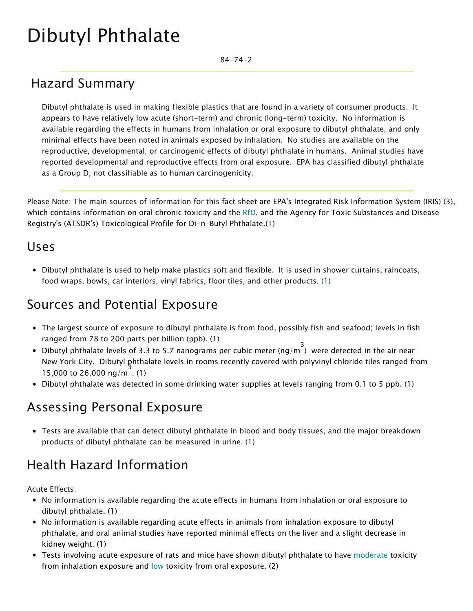# Dibutyl Phthalate

84-74-2

## Hazard Summary

Dibutyl phthalate is used in making flexible plastics that are found in a variety of consumer products. It appears to have relatively low acute (short-term) and chronic (long-term) toxicity. No information is available regarding the effects in humans from inhalation or oral exposure to dibutyl phthalate, and only minimal effects have been noted in animals exposed by inhalation. No studies are available on the reproductive, developmental, or carcinogenic effects of dibutyl phthalate in humans. Animal studies have reported developmental and reproductive effects from oral exposure. EPA has classified dibutyl phthalate as a Group D, not classifiable as to human carcinogenicity.

Please Note: The main sources of information for this fact sheet are EPA's Integrated Risk Information System (IRIS) (3), which contains information on oral chronic toxicity and the [RfD](https://www.epa.gov/haps/health-effects-notebook-glossary), and the Agency for Toxic Substances and Disease Registry's (ATSDR's) Toxicological Profile for Di-n-Butyl Phthalate.(1)

#### Uses

Dibutyl phthalate is used to help make plastics soft and flexible. It is used in shower curtains, raincoats, food wraps, bowls, car interiors, vinyl fabrics, floor tiles, and other products. (1)

### Sources and Potential Exposure

- The largest source of exposure to dibutyl phthalate is from food, possibly fish and seafood; levels in fish ranged from 78 to 200 parts per billion (ppb). (1)
- Dibutyl phthalate levels of 3.3 to 5.7 nanograms per cubic meter (ng/m<sup>3</sup>) were detected in the air near New York City. Dibutyl phthalate levels in rooms recently covered with polyvinyl chloride tiles ranged from 15,000 to 26,000 ng/m 3 . (1)
- Dibutyl phthalate was detected in some drinking water supplies at levels ranging from 0.1 to 5 ppb. (1)

### Assessing Personal Exposure

Tests are available that can detect dibutyl phthalate in blood and body tissues, and the major breakdown products of dibutyl phthalate can be measured in urine. (1)

# Health Hazard Information

Acute Effects:

- No information is available regarding the acute effects in humans from inhalation or oral exposure to dibutyl phthalate. (1)
- No information is available regarding acute effects in animals from inhalation exposure to dibutyl phthalate, and oral animal studies have reported minimal effects on the liver and a slight decrease in kidney weight. (1)
- Tests involving acute exposure of rats and mice have shown dibutyl phthalate to have [moderate](https://www.epa.gov/haps/about-health-effects-fact-sheets) toxicity from inhalation exposure and [low](https://www.epa.gov/haps/about-health-effects-fact-sheets) toxicity from oral exposure. (2)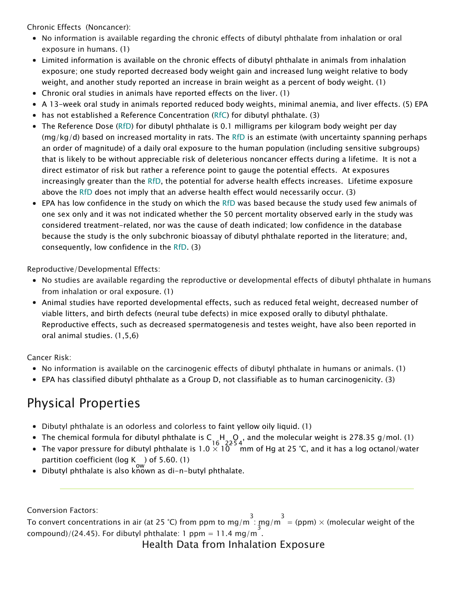Chronic Effects (Noncancer):

- No information is available regarding the chronic effects of dibutyl phthalate from inhalation or oral exposure in humans. (1)
- Limited information is available on the chronic effects of dibutyl phthalate in animals from inhalation exposure; one study reported decreased body weight gain and increased lung weight relative to body weight, and another study reported an increase in brain weight as a percent of body weight. (1)
- Chronic oral studies in animals have reported effects on the liver. (1)
- A 13-week oral study in animals reported reduced body weights, minimal anemia, and liver effects. (5) EPA
- has not established a Reference Concentration [\(RfC](https://www.epa.gov/haps/health-effects-notebook-glossary)) for dibutyl phthalate. (3)
- The Reference Dose [\(RfD\)](https://www.epa.gov/haps/health-effects-notebook-glossary) for dibutyl phthalate is 0.1 milligrams per kilogram body weight per day  $(mg/kg/d)$  based on increased mortality in rats. The [RfD](https://www.epa.gov/haps/health-effects-notebook-glossary) is an estimate (with uncertainty spanning perhaps an order of magnitude) of a daily oral exposure to the human population (including sensitive subgroups) that is likely to be without appreciable risk of deleterious noncancer effects during a lifetime. It is not a direct estimator of risk but rather a reference point to gauge the potential effects. At exposures increasingly greater than the [RfD](https://www.epa.gov/haps/health-effects-notebook-glossary), the potential for adverse health effects increases. Lifetime exposure above the [RfD](https://www.epa.gov/haps/health-effects-notebook-glossary) does not imply that an adverse health effect would necessarily occur. (3)
- EPA has low confidence in the study on which the [RfD](https://www.epa.gov/haps/health-effects-notebook-glossary) was based because the study used few animals of one sex only and it was not indicated whether the 50 percent mortality observed early in the study was considered treatment-related, nor was the cause of death indicated; low confidence in the database because the study is the only subchronic bioassay of dibutyl phthalate reported in the literature; and, consequently, low confidence in the [RfD](https://www.epa.gov/haps/health-effects-notebook-glossary). (3)

Reproductive/Developmental Effects:

- No studies are available regarding the reproductive or developmental effects of dibutyl phthalate in humans from inhalation or oral exposure. (1)
- Animal studies have reported developmental effects, such as reduced fetal weight, decreased number of viable litters, and birth defects (neural tube defects) in mice exposed orally to dibutyl phthalate. Reproductive effects, such as decreased spermatogenesis and testes weight, have also been reported in oral animal studies. (1,5,6)

Cancer Risk:

- No information is available on the carcinogenic effects of dibutyl phthalate in humans or animals. (1)
- EPA has classified dibutyl phthalate as a Group D, not classifiable as to human carcinogenicity. (3)

# Physical Properties

- Dibutyl phthalate is an odorless and colorless to faint yellow oily liquid. (1)
- The chemical formula for dibutyl phthalate is C  $\,$  H  $\,$  O  $\,$  , and the molecular weight is 278.35 g/mol. (1)<br>—
- The vapor pressure for dibutyl phthalate is 1.0  $\times$  10  $^-$  mm of Hg at 25 °C, and it has a log octanol/water partition coefficient (log K ) of 5.60. (1)<br>Pilot Library o<sup>w</sup>
- Dibutyl phthalate is also known as di-n-butyl phthalate.

Conversion Factors:

To convert concentrations in air (at 25 °C) from ppm to mg/m<sup>3</sup>: mg/m<sup>3</sup> = (ppm) × (molecular weight of the  $compound)/(24.45)$ . For dibutyl phthalate: 1 ppm = 11.4 mg/m.

Health Data from Inhalation Exposure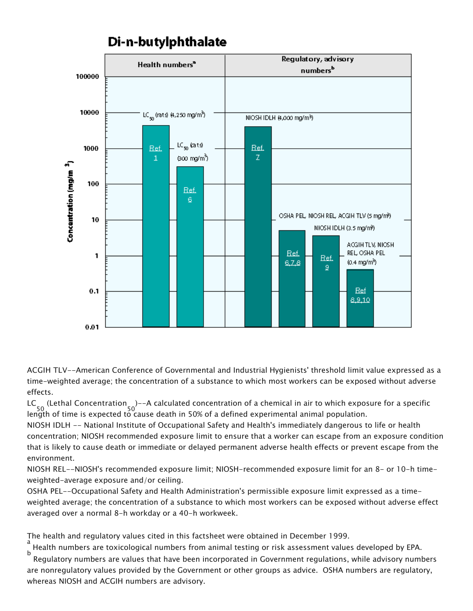

Di-n-butylphthalate

ACGIH TLV--American Conference of Governmental and Industrial Hygienists' threshold limit value expressed as a time-weighted average; the concentration of a substance to which most workers can be exposed without adverse effects.

LC 50 (Lethal Concentration 50 )--A calculated concentration of a chemical in air to which exposure for a specific length of time is expected to cause death in 50% of a defined experimental animal population.

NIOSH IDLH -- National Institute of Occupational Safety and Health's immediately dangerous to life or health concentration; NIOSH recommended exposure limit to ensure that a worker can escape from an exposure condition that is likely to cause death or immediate or delayed permanent adverse health effects or prevent escape from the environment.

NIOSH REL--NIOSH's recommended exposure limit; NIOSH-recommended exposure limit for an 8- or 10-h timeweighted-average exposure and/or ceiling.

OSHA PEL--Occupational Safety and Health Administration's permissible exposure limit expressed as a timeweighted average; the concentration of a substance to which most workers can be exposed without adverse effect averaged over a normal 8-h workday or a 40-h workweek.

The health and regulatory values cited in this factsheet were obtained in December 1999.

a Health numbers are toxicological numbers from animal testing or risk assessment values developed by EPA.

b Regulatory numbers are values that have been incorporated in Government regulations, while advisory numbers are nonregulatory values provided by the Government or other groups as advice. OSHA numbers are regulatory, whereas NIOSH and ACGIH numbers are advisory.